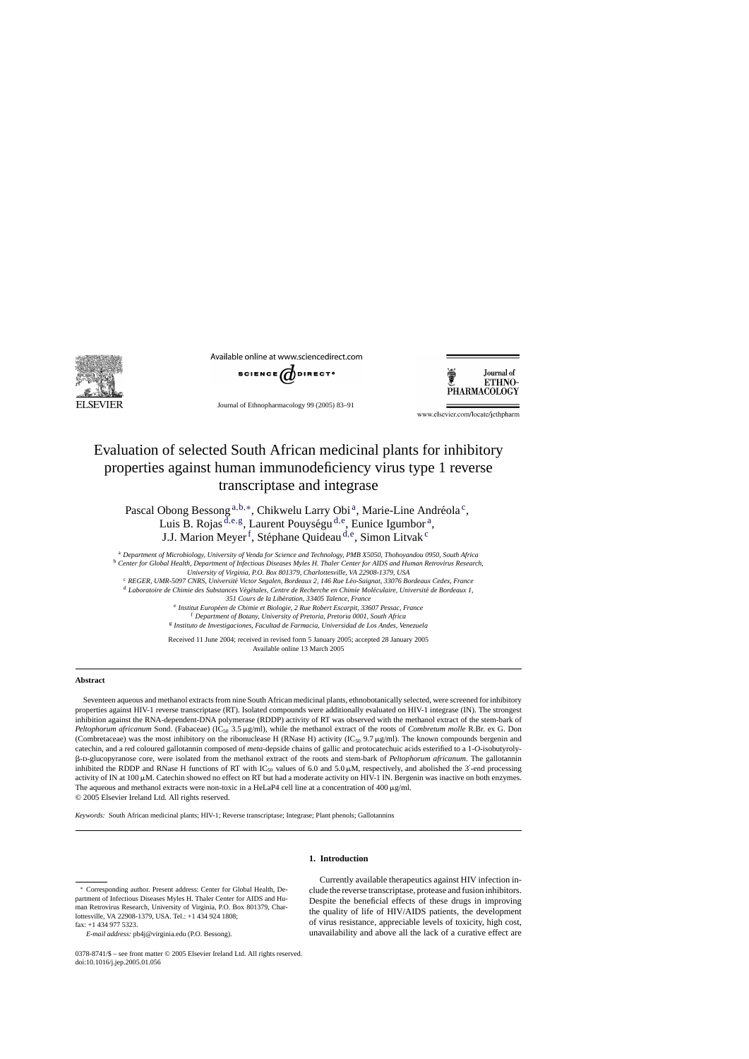

Available online at www.sciencedirect.com



Journal of Ethnopharmacology 99 (2005) 83–91



www.elsevier.com/locate/jethpharm

# Evaluation of selected South African medicinal plants for inhibitory properties against human immunodeficiency virus type 1 reverse transcriptase and integrase

Pascal Obong Bessong <sup>a,b,\*</sup>, Chikwelu Larry Obi<sup>a</sup>, Marie-Line Andréola<sup>c</sup>, Luis B. Rojas <sup>d, e, g</sup>, Laurent Pouységu <sup>d, e</sup>, Eunice Igumbor<sup>a</sup>, J.J. Marion Meyer<sup>f</sup>, Stéphane Quideau d,e, Simon Litvak<sup>c</sup>

<sup>a</sup> *Department of Microbiology, University of Venda for Science and Technology, PMB X5050, Thohoyandou0950, South Africa* <sup>b</sup> *Center for Global Health, Department of Infectious Diseases Myles H. Thaler Center for AIDS and Human Retrovirus Research, University of Virginia, P.O. Box 801379, Charlottesville, VA 22908-1379, USA*

<sup>c</sup> REGER, UMR-5097 CNRS, Université Victor Segalen, Bordeaux 2, 146 Rue Léo-Saignat, 33076 Bordeaux Cedex, France

<sup>d</sup> Laboratoire de Chimie des Substances Végétales, Centre de Recherche en Chimie Moléculaire, Université de Bordeaux 1, *351 Cours de la Lib´eration, 33405 Talence, France*

<sup>e</sup> Institut Européen de Chimie et Biologie, 2 Rue Robert Escarpit, 33607 Pessac, France <sup>f</sup> *Department of Botany, University of Pretoria, Pretoria 0001, South Africa* <sup>g</sup> *Instituto de Investigaciones, Facultad de Farmacia, Universidad de Los Andes, Venezuela*

Received 11 June 2004; received in revised form 5 January 2005; accepted 28 January 2005 Available online 13 March 2005

## **Abstract**

Seventeen aqueous and methanol extracts from nine South African medicinal plants, ethnobotanically selected, were screened for inhibitory properties against HIV-1 reverse transcriptase (RT). Isolated compounds were additionally evaluated on HIV-1 integrase (IN). The strongest inhibition against the RNA-dependent-DNA polymerase (RDDP) activity of RT was observed with the methanol extract of the stem-bark of *Peltophorum africanum* Sond. (Fabaceae) (IC<sub>50</sub> 3.5 µg/ml), while the methanol extract of the roots of *Combretum molle* R.Br. ex G. Don (Combretaceae) was the most inhibitory on the ribonuclease H (RNase H) activity  $(IC_{50}$  9.7  $\mu$ g/ml). The known compounds bergenin and catechin, and a red coloured gallotannin composed of *meta*-depside chains of gallic and protocatechuic acids esterified to a 1-*O*-isobutyroly- --d-glucopyranose core, were isolated from the methanol extract of the roots and stem-bark of *Peltophorum africanum*. The gallotannin inhibited the RDDP and RNase H functions of RT with  $IC_{50}$  values of 6.0 and 5.0  $\mu$ M, respectively, and abolished the 3'-end processing activity of IN at  $100 \mu$ M. Catechin showed no effect on RT but had a moderate activity on HIV-1 IN. Bergenin was inactive on both enzymes. The aqueous and methanol extracts were non-toxic in a HeLaP4 cell line at a concentration of 400  $\mu$ g/ml. © 2005 Elsevier Ireland Ltd. All rights reserved.

*Keywords:* South African medicinal plants; HIV-1; Reverse transcriptase; Integrase; Plant phenols; Gallotannins

# **1. Introduction**

*E-mail address:* pb4j@virginia.edu (P.O. Bessong).

<sup>∗</sup> Corresponding author. Present address: Center for Global Health, Department of Infectious Diseases Myles H. Thaler Center for AIDS and Human Retrovirus Research, University of Virginia, P.O. Box 801379, Charlottesville, VA 22908-1379, USA. Tel.: +1 434 924 1808; fax: +1 434 977 5323.

Currently available therapeutics against HIV infection include the reverse transcriptase, protease and fusion inhibitors. Despite the beneficial effects of these drugs in improving the quality of life of HIV/AIDS patients, the development of virus resistance, appreciable levels of toxicity, high cost, unavailability and above all the lack of a curative effect are

<sup>0378-8741/\$ –</sup> see front matter © 2005 Elsevier Ireland Ltd. All rights reserved. doi:10.1016/j.jep.2005.01.056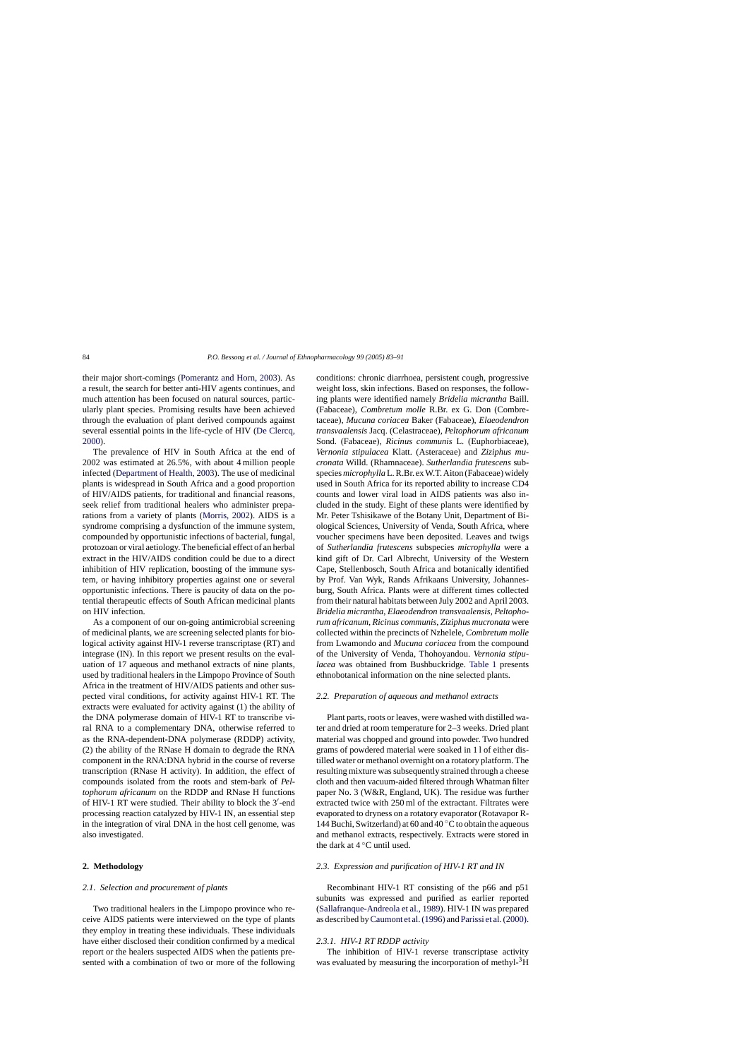<span id="page-1-0"></span>their major short-comings [\(Pomerantz and Horn, 2003\).](#page-8-0) As a result, the search for better anti-HIV agents continues, and much attention has been focused on natural sources, particularly plant species. Promising results have been achieved through the evaluation of plant derived compounds against several essential points in the life-cycle of HIV [\(De Clercq,](#page-7-0) [2000\).](#page-7-0)

The prevalence of HIV in South Africa at the end of 2002 was estimated at 26.5%, with about 4 million people infected [\(Department of Health, 2003\).](#page-7-0) The use of medicinal plants is widespread in South Africa and a good proportion of HIV/AIDS patients, for traditional and financial reasons, seek relief from traditional healers who administer preparations from a variety of plants ([Morris, 2002\).](#page-7-0) AIDS is a syndrome comprising a dysfunction of the immune system, compounded by opportunistic infections of bacterial, fungal, protozoan or viral aetiology. The beneficial effect of an herbal extract in the HIV/AIDS condition could be due to a direct inhibition of HIV replication, boosting of the immune system, or having inhibitory properties against one or several opportunistic infections. There is paucity of data on the potential therapeutic effects of South African medicinal plants on HIV infection.

As a component of our on-going antimicrobial screening of medicinal plants, we are screening selected plants for biological activity against HIV-1 reverse transcriptase (RT) and integrase (IN). In this report we present results on the evaluation of 17 aqueous and methanol extracts of nine plants, used by traditional healers in the Limpopo Province of South Africa in the treatment of HIV/AIDS patients and other suspected viral conditions, for activity against HIV-1 RT. The extracts were evaluated for activity against (1) the ability of the DNA polymerase domain of HIV-1 RT to transcribe viral RNA to a complementary DNA, otherwise referred to as the RNA-dependent-DNA polymerase (RDDP) activity, (2) the ability of the RNase H domain to degrade the RNA component in the RNA:DNA hybrid in the course of reverse transcription (RNase H activity). In addition, the effect of compounds isolated from the roots and stem-bark of *Peltophorum africanum* on the RDDP and RNase H functions of HIV-1 RT were studied. Their ability to block the 3'-end processing reaction catalyzed by HIV-1 IN, an essential step in the integration of viral DNA in the host cell genome, was also investigated.

## **2. Methodology**

# *2.1. Selection and procurement of plants*

Two traditional healers in the Limpopo province who receive AIDS patients were interviewed on the type of plants they employ in treating these individuals. These individuals have either disclosed their condition confirmed by a medical report or the healers suspected AIDS when the patients presented with a combination of two or more of the following conditions: chronic diarrhoea, persistent cough, progressive weight loss, skin infections. Based on responses, the following plants were identified namely *Bridelia micrantha* Baill. (Fabaceae), *Combretum molle* R.Br. ex G. Don (Combretaceae), *Mucuna coriacea* Baker (Fabaceae), *Elaeodendron transvaalensis* Jacq. (Celastraceae), *Peltophorum africanum* Sond. (Fabaceae), *Ricinus communis* L. (Euphorbiaceae), *Vernonia stipulacea* Klatt. (Asteraceae) and *Ziziphus mucronata* Willd. (Rhamnaceae). *Sutherlandia frutescens* subspecies *microphylla*L. R.Br. ex W.T. Aiton (Fabaceae) widely used in South Africa for its reported ability to increase CD4 counts and lower viral load in AIDS patients was also included in the study. Eight of these plants were identified by Mr. Peter Tshisikawe of the Botany Unit, Department of Biological Sciences, University of Venda, South Africa, where voucher specimens have been deposited. Leaves and twigs of *Sutherlandia frutescens* subspecies *microphylla* were a kind gift of Dr. Carl Albrecht, University of the Western Cape, Stellenbosch, South Africa and botanically identified by Prof. Van Wyk, Rands Afrikaans University, Johannesburg, South Africa. Plants were at different times collected from their natural habitats between July 2002 and April 2003. *Bridelia micrantha*, *Elaeodendron transvaalensis*, *Peltophorum africanum*, *Ricinus communis*, *Ziziphus mucronata* were collected within the precincts of Nzhelele, *Combretum molle* from Lwamondo and *Mucuna coriacea* from the compound of the University of Venda, Thohoyandou. *Vernonia stipulacea* was obtained from Bushbuckridge. [Table 1](#page-2-0) presents ethnobotanical information on the nine selected plants.

## *2.2. Preparation of aqueous and methanol extracts*

Plant parts, roots or leaves, were washed with distilled water and dried at room temperature for 2–3 weeks. Dried plant material was chopped and ground into powder. Two hundred grams of powdered material were soaked in 1 l of either distilled water or methanol overnight on a rotatory platform. The resulting mixture was subsequently strained through a cheese cloth and then vacuum-aided filtered through Whatman filter paper No. 3 (W&R, England, UK). The residue was further extracted twice with 250 ml of the extractant. Filtrates were evaporated to dryness on a rotatory evaporator (Rotavapor R-144 Buchi, Switzerland) at 60 and 40  $\degree$ C to obtain the aqueous and methanol extracts, respectively. Extracts were stored in the dark at  $4^{\circ}$ C until used.

## *2.3. Expression and purification of HIV-1 RT and IN*

Recombinant HIV-1 RT consisting of the p66 and p51 subunits was expressed and purified as earlier reported [\(Sallafranque-Andreola et al., 1989\).](#page-8-0) HIV-1 IN was prepared as described by[Caumont et al. \(1996\)](#page-7-0) and [Parissi et al. \(2000\).](#page-8-0)

## *2.3.1. HIV-1 RT RDDP activity*

The inhibition of HIV-1 reverse transcriptase activity was evaluated by measuring the incorporation of methyl-<sup>3</sup>H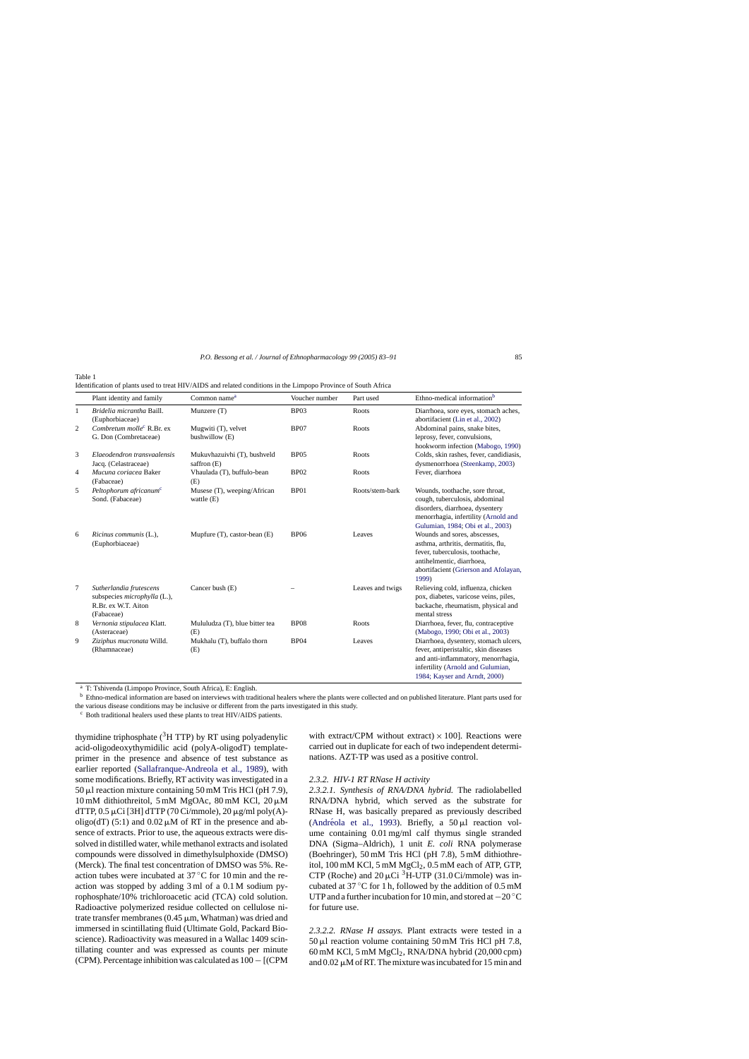<span id="page-2-0"></span>Table 1 Identification of plants used to treat HIV/AIDS and related conditions in the Limpopo Province of South Africa

|                | Plant identity and family                                                                    | Common name <sup>a</sup>                     | Voucher number | Part used        | Ethno-medical information <sup>b</sup>                                                                                                                                                      |
|----------------|----------------------------------------------------------------------------------------------|----------------------------------------------|----------------|------------------|---------------------------------------------------------------------------------------------------------------------------------------------------------------------------------------------|
| $\mathbf{1}$   | Bridelia micrantha Baill.<br>(Euphorbiaceae)                                                 | Munzere (T)                                  | <b>BP03</b>    | Roots            | Diarrhoea, sore eyes, stomach aches,<br>abortifacient (Lin et al., 2002)                                                                                                                    |
| $\mathfrak{2}$ | Combretum molle <sup>c</sup> R.Br. ex<br>G. Don (Combretaceae)                               | Mugwiti (T), velvet<br>bushwillow (E)        | <b>BP07</b>    | Roots            | Abdominal pains, snake bites,<br>leprosy, fever, convulsions,<br>hookworm infection (Mabogo, 1990)                                                                                          |
| 3              | Elaeodendron transvaalensis<br>Jacq. (Celastraceae)                                          | Mukuvhazuivhi (T), bushveld<br>saffron $(E)$ | <b>BP05</b>    | Roots            | Colds, skin rashes, fever, candidiasis,<br>dysmenorrhoea (Steenkamp, 2003)                                                                                                                  |
| $\overline{4}$ | Mucuna coriacea Baker<br>(Fabaceae)                                                          | Vhaulada (T), buffulo-bean<br>(E)            | <b>BP02</b>    | Roots            | Fever, diarrhoea                                                                                                                                                                            |
| 5              | Peltophorum africanum <sup>c</sup><br>Sond. (Fabaceae)                                       | Musese (T), weeping/African<br>wattle $(E)$  | BP01           | Roots/stem-bark  | Wounds, toothache, sore throat,<br>cough, tuberculosis, abdominal<br>disorders, diarrhoea, dysentery<br>menorrhagia, infertility (Arnold and<br>Gulumian, 1984; Obi et al., 2003)           |
| 6              | Ricinus communis (L.),<br>(Euphorbiaceae)                                                    | Mupfure $(T)$ , castor-bean $(E)$            | <b>BP06</b>    | Leaves           | Wounds and sores, abscesses,<br>asthma, arthritis, dermatitis, flu,<br>fever, tuberculosis, toothache,<br>antihelmentic, diarrhoea,<br>abortifacient (Grierson and Afolayan,<br>1999)       |
| 7              | Sutherlandia frutescens<br>subspecies microphylla (L.),<br>R.Br. ex W.T. Aiton<br>(Fabaceae) | Cancer bush $(E)$                            |                | Leaves and twigs | Relieving cold, influenza, chicken<br>pox, diabetes, varicose veins, piles,<br>backache, rheumatism, physical and<br>mental stress                                                          |
| 8              | Vernonia stipulacea Klatt.<br>(Asteraceae)                                                   | Mululudza (T), blue bitter tea<br>(E)        | <b>BP08</b>    | Roots            | Diarrhoea, fever, flu, contraceptive<br>(Mabogo, 1990; Obi et al., 2003)                                                                                                                    |
| 9              | Ziziphus mucronata Willd.<br>(Rhamnaceae)                                                    | Mukhalu (T), buffalo thorn<br>(E)            | <b>BP04</b>    | Leaves           | Diarrhoea, dysentery, stomach ulcers,<br>fever, antiperistaltic, skin diseases<br>and anti-inflammatory, menorrhagia,<br>infertility (Arnold and Gulumian,<br>1984; Kayser and Arndt, 2000) |

<sup>a</sup> T: Tshivenda (Limpopo Province, South Africa), E: English.

<sup>b</sup> Ethno-medical information are based on interviews with traditional healers where the plants were collected and on published literature. Plant parts used for the various disease conditions may be inclusive or different from the parts investigated in this study.

<sup>c</sup> Both traditional healers used these plants to treat HIV/AIDS patients.

thymidine triphosphate  $({}^{3}H$  TTP) by RT using polyadenylic acid-oligodeoxythymidilic acid (polyA-oligodT) templateprimer in the presence and absence of test substance as earlier reported [\(Sallafranque-Andreola et al., 1989\)](#page-8-0), with some modifications. Briefly, RT activity was investigated in a 50  $\mu$ l reaction mixture containing 50 mM Tris HCl (pH 7.9), 10 mM dithiothreitol, 5 mM MgOAc, 80 mM KCl, 20  $\mu$ M dTTP,  $0.5 \mu$ Ci [3H] dTTP (70 Ci/mmole),  $20 \mu$ g/ml poly(A)oligo(dT) (5:1) and  $0.02 \mu M$  of RT in the presence and absence of extracts. Prior to use, the aqueous extracts were dissolved in distilled water, while methanol extracts and isolated compounds were dissolved in dimethylsulphoxide (DMSO) (Merck). The final test concentration of DMSO was 5%. Reaction tubes were incubated at  $37^{\circ}$ C for 10 min and the reaction was stopped by adding 3 ml of a 0.1 M sodium pyrophosphate/10% trichloroacetic acid (TCA) cold solution. Radioactive polymerized residue collected on cellulose nitrate transfer membranes ( $0.45 \mu$ m, Whatman) was dried and immersed in scintillating fluid (Ultimate Gold, Packard Bioscience). Radioactivity was measured in a Wallac 1409 scintillating counter and was expressed as counts per minute (CPM). Percentage inhibition was calculated as 100 − [(CPM with extract/CPM without extract)  $\times$  100]. Reactions were carried out in duplicate for each of two independent determinations. AZT-TP was used as a positive control.

## *2.3.2. HIV-1 RT RNase H activity*

*2.3.2.1. Synthesis of RNA/DNA hybrid.* The radiolabelled RNA/DNA hybrid, which served as the substrate for RNase H, was basically prepared as previously described (Andréola et al., 1993). Briefly, a  $50 \mu l$  reaction volume containing 0.01 mg/ml calf thymus single stranded DNA (Sigma–Aldrich), 1 unit *E. coli* RNA polymerase (Boehringer), 50 mM Tris HCl (pH 7.8), 5 mM dithiothreitol,  $100 \text{ mM KCl}$ ,  $5 \text{ mM MgCl}_2$ ,  $0.5 \text{ mM each of ATP}$ , GTP, CTP (Roche) and  $20 \mu$ Ci <sup>3</sup>H-UTP (31.0 Ci/mmole) was incubated at 37 ◦C for 1 h, followed by the addition of 0.5 mM UTP and a further incubation for 10 min, and stored at−20 ◦C for future use.

*2.3.2.2. RNase H assays.* Plant extracts were tested in a  $50 \mu l$  reaction volume containing  $50 \text{ mM}$  Tris HCl pH 7.8, 60 mM KCl, 5 mM MgCl2, RNA/DNA hybrid (20,000 cpm) and  $0.02 \mu$ M of RT. The mixture was incubated for 15 min and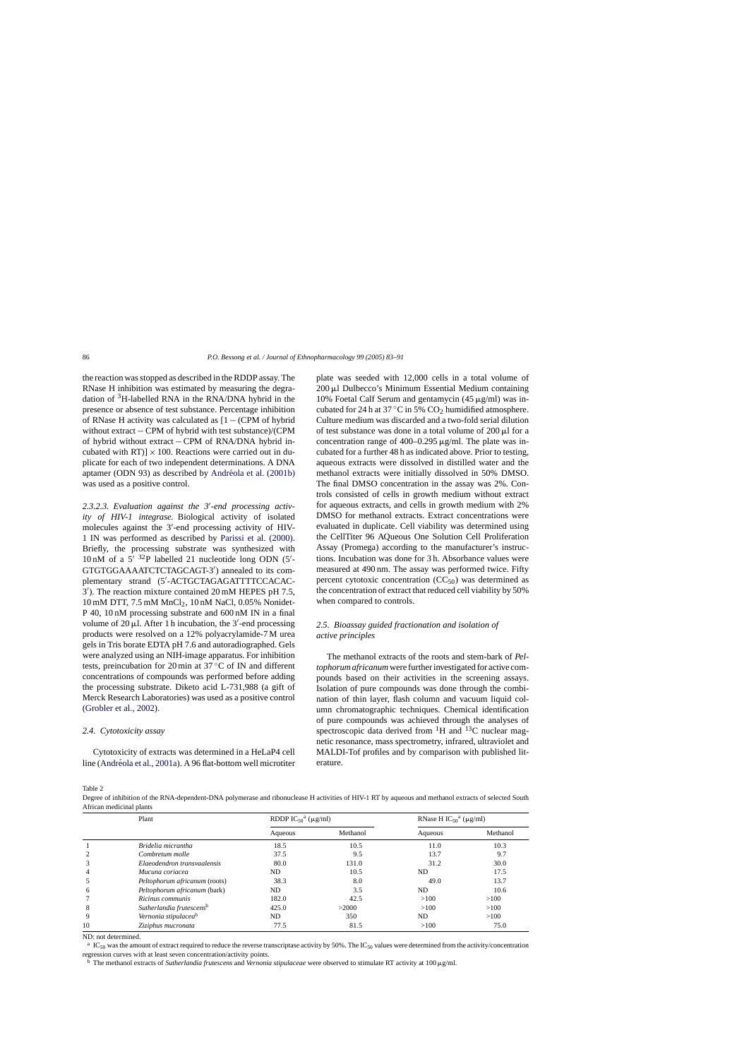<span id="page-3-0"></span>the reaction was stopped as described in the RDDP assay. The RNase H inhibition was estimated by measuring the degradation of 3H-labelled RNA in the RNA/DNA hybrid in the presence or absence of test substance. Percentage inhibition of RNase H activity was calculated as [1 − (CPM of hybrid without extract − CPM of hybrid with test substance)/(CPM of hybrid without extract − CPM of RNA/DNA hybrid incubated with RT)]  $\times$  100. Reactions were carried out in duplicate for each of two independent determinations. A DNA aptamer (ODN 93) as described by Andréola et al. (2001b) was used as a positive control.

2.3.2.3. Evaluation against the 3'-end processing activ*ity of HIV-1 integrase.* Biological activity of isolated molecules against the 3'-end processing activity of HIV-1 IN was performed as described by [Parissi et al. \(2000\).](#page-8-0) Briefly, the processing substrate was synthesized with 10 nM of a  $5'$  <sup>32</sup>P labelled 21 nucleotide long ODN  $(5'$ -GTGTGGAAAATCTCTAGCAGT-3') annealed to its complementary strand (5'-ACTGCTAGAGATTTTCCACAC-3<sup>'</sup>). The reaction mixture contained 20 mM HEPES pH 7.5, 10 mM DTT, 7.5 mM MnCl<sub>2</sub>, 10 nM NaCl, 0.05% Nonidet-P 40, 10 nM processing substrate and 600 nM IN in a final volume of 20  $\mu$ l. After 1 h incubation, the 3'-end processing products were resolved on a 12% polyacrylamide-7 M urea gels in Tris borate EDTA pH 7.6 and autoradiographed. Gels were analyzed using an NIH-image apparatus. For inhibition tests, preincubation for 20 min at 37 ◦C of IN and different concentrations of compounds was performed before adding the processing substrate. Diketo acid L-731,988 (a gift of Merck Research Laboratories) was used as a positive control [\(Grobler et al., 2002\).](#page-7-0)

## *2.4. Cytotoxicity assay*

Cytotoxicity of extracts was determined in a HeLaP4 cell line (Andréola et al., 2001a). A 96 flat-bottom well microtiter plate was seeded with 12,000 cells in a total volume of  $200 \mu$ l Dulbecco's Minimum Essential Medium containing 10% Foetal Calf Serum and gentamycin  $(45 \mu g/ml)$  was incubated for 24 h at 37  $\mathrm{^{\circ}C}$  in 5%  $\mathrm{CO}_2$  humidified atmosphere. Culture medium was discarded and a two-fold serial dilution of test substance was done in a total volume of  $200 \mu$  for a concentration range of 400–0.295  $\mu$ g/ml. The plate was incubated for a further 48 h as indicated above. Prior to testing, aqueous extracts were dissolved in distilled water and the methanol extracts were initially dissolved in 50% DMSO. The final DMSO concentration in the assay was 2%. Controls consisted of cells in growth medium without extract for aqueous extracts, and cells in growth medium with 2% DMSO for methanol extracts. Extract concentrations were evaluated in duplicate. Cell viability was determined using the CellTiter 96 AQueous One Solution Cell Proliferation Assay (Promega) according to the manufacturer's instructions. Incubation was done for 3 h. Absorbance values were measured at 490 nm. The assay was performed twice. Fifty percent cytotoxic concentration  $(CC<sub>50</sub>)$  was determined as the concentration of extract that reduced cell viability by 50% when compared to controls.

# *2.5. Bioassay guided fractionation and isolation of active principles*

The methanol extracts of the roots and stem-bark of *Peltophorum africanum*were further investigated for active compounds based on their activities in the screening assays. Isolation of pure compounds was done through the combination of thin layer, flash column and vacuum liquid column chromatographic techniques. Chemical identification of pure compounds was achieved through the analyses of spectroscopic data derived from  ${}^{1}H$  and  ${}^{13}C$  nuclear magnetic resonance, mass spectrometry, infrared, ultraviolet and MALDI-Tof profiles and by comparison with published literature.

Table 2

Degree of inhibition of the RNA-dependent-DNA polymerase and ribonuclease H activities of HIV-1 RT by aqueous and methanol extracts of selected South African medicinal plants

|                | Plant                                | RDDP $IC_{50}$ <sup>a</sup> ( $\mu$ g/ml) |          | RNase H $IC_{50}$ <sup>a</sup> ( $\mu$ g/ml) |          |
|----------------|--------------------------------------|-------------------------------------------|----------|----------------------------------------------|----------|
|                |                                      | Aqueous                                   | Methanol | Aqueous                                      | Methanol |
|                | Bridelia micrantha                   | 18.5                                      | 10.5     | 11.0                                         | 10.3     |
|                | Combretum molle                      | 37.5                                      | 9.5      | 13.7                                         | 9.7      |
| 3              | Elaeodendron transvaalensis          | 80.0                                      | 131.0    | 31.2                                         | 30.0     |
| $\overline{4}$ | Mucuna coriacea                      | ND                                        | 10.5     | ND.                                          | 17.5     |
| 5              | Peltophorum africanum (roots)        | 38.3                                      | 8.0      | 49.0                                         | 13.7     |
| 6              | Peltophorum africanum (bark)         | ND                                        | 3.5      | ND                                           | 10.6     |
|                | Ricinus communis                     | 182.0                                     | 42.5     | >100                                         | >100     |
| 8              | Sutherlandia frutescens <sup>b</sup> | 425.0                                     | >2000    | >100                                         | >100     |
| 9              | Vernonia stipulacea <sup>b</sup>     | ND                                        | 350      | ND.                                          | >100     |
| 10             | Ziziphus mucronata                   | 77.5                                      | 81.5     | >100                                         | 75.0     |

ND: not determined.

 $IC_{50}$  was the amount of extract required to reduce the reverse transcriptase activity by 50%. The  $IC_{50}$  values were determined from the activity/concentration regression curves with at least seven concentration/activity points.

<sup>b</sup> The methanol extracts of *Sutherlandia frutescens* and *Vernonia stipulaceae* were observed to stimulate RT activity at 100 µg/ml.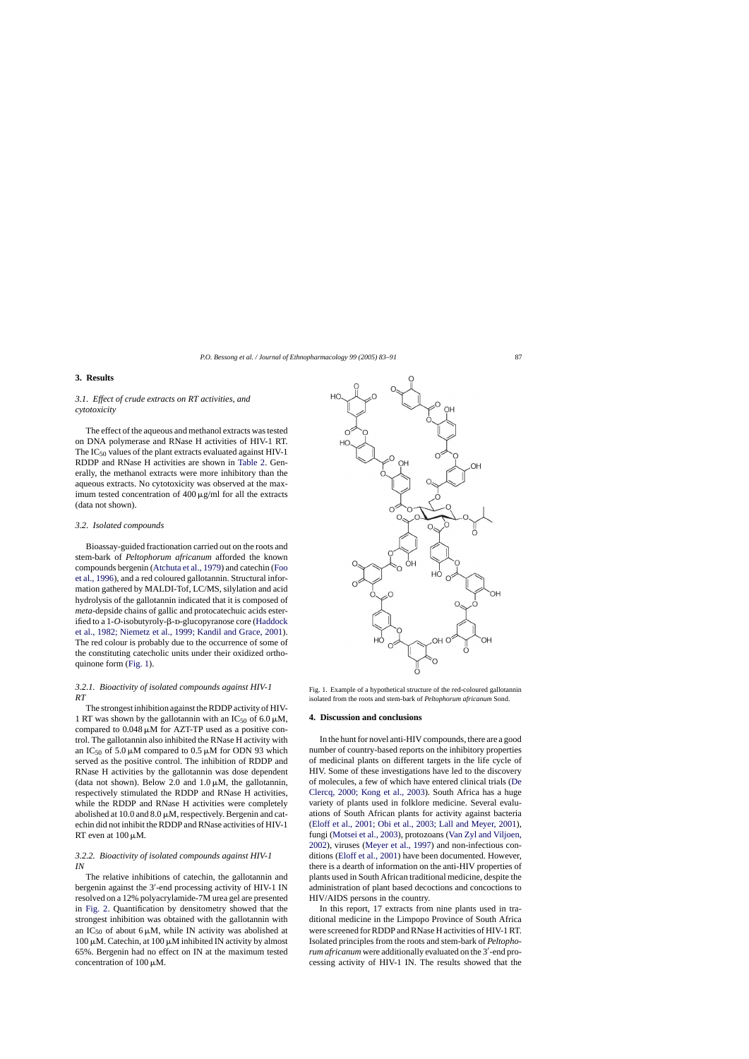## **3. Results**

# *3.1. Effect of crude extracts on RT activities, and cytotoxicity*

The effect of the aqueous and methanol extracts was tested on DNA polymerase and RNase H activities of HIV-1 RT. The  $IC_{50}$  values of the plant extracts evaluated against HIV-1 RDDP and RNase H activities are shown in [Table 2.](#page-3-0) Generally, the methanol extracts were more inhibitory than the aqueous extracts. No cytotoxicity was observed at the maximum tested concentration of  $400 \mu g/ml$  for all the extracts (data not shown).

## *3.2. Isolated compounds*

Bioassay-guided fractionation carried out on the roots and stem-bark of *Peltophorum africanum* afforded the known compounds bergenin [\(Atchuta et al., 1979\) a](#page-7-0)nd catechin [\(Foo](#page-7-0) [et al., 1996\),](#page-7-0) and a red coloured gallotannin. Structural information gathered by MALDI-Tof, LC/MS, silylation and acid hydrolysis of the gallotannin indicated that it is composed of *meta*-depside chains of gallic and protocatechuic acids ester-ified to a 1-O-isobutyroly-β-D-glucopyranose core ([Haddock](#page-7-0) [et al., 1982; Niemetz et al., 1999; Kandil and Grace, 2001\)](#page-7-0). The red colour is probably due to the occurrence of some of the constituting catecholic units under their oxidized orthoquinone form (Fig. 1).

# *3.2.1. Bioactivity of isolated compounds against HIV-1 RT*

The strongest inhibition against the RDDP activity of HIV-1 RT was shown by the gallotannin with an  $IC_{50}$  of 6.0  $\mu$ M, compared to  $0.048 \mu M$  for AZT-TP used as a positive control. The gallotannin also inhibited the RNase H activity with an IC<sub>50</sub> of 5.0  $\mu$ M compared to 0.5  $\mu$ M for ODN 93 which served as the positive control. The inhibition of RDDP and RNase H activities by the gallotannin was dose dependent (data not shown). Below 2.0 and  $1.0 \mu M$ , the gallotannin, respectively stimulated the RDDP and RNase H activities, while the RDDP and RNase H activities were completely abolished at 10.0 and 8.0  $\mu$ M, respectively. Bergenin and catechin did not inhibit the RDDP and RNase activities of HIV-1 RT even at  $100 \mu M$ .

# *3.2.2. Bioactivity of isolated compounds against HIV-1 IN*

The relative inhibitions of catechin, the gallotannin and bergenin against the 3'-end processing activity of HIV-1 IN resolved on a 12% polyacrylamide-7M urea gel are presented in [Fig. 2.](#page-5-0) Quantification by densitometry showed that the strongest inhibition was obtained with the gallotannin with an IC<sub>50</sub> of about 6  $\mu$ M, while IN activity was abolished at  $100 \mu M$ . Catechin, at  $100 \mu M$  inhibited IN activity by almost 65%. Bergenin had no effect on IN at the maximum tested concentration of  $100 \mu M$ .



Fig. 1. Example of a hypothetical structure of the red-coloured gallotannin isolated from the roots and stem-bark of *Peltophorum africanum* Sond.

## **4. Discussion and conclusions**

In the hunt for novel anti-HIV compounds, there are a good number of country-based reports on the inhibitory properties of medicinal plants on different targets in the life cycle of HIV. Some of these investigations have led to the discovery of molecules, a few of which have entered clinical trials [\(De](#page-7-0) [Clercq, 2000; Kong et al., 2003\)](#page-7-0). South Africa has a huge variety of plants used in folklore medicine. Several evaluations of South African plants for activity against bacteria ([Eloff et al., 2001; Obi et al., 2003; Lall and Meyer, 2001\)](#page-7-0), fungi [\(Motsei et al., 2003\),](#page-7-0) protozoans ([Van Zyl and Viljoen,](#page-8-0) [2002\),](#page-8-0) viruses ([Meyer et al., 1997\)](#page-7-0) and non-infectious conditions ([Eloff et al., 2001\)](#page-7-0) have been documented. However, there is a dearth of information on the anti-HIV properties of plants used in South African traditional medicine, despite the administration of plant based decoctions and concoctions to HIV/AIDS persons in the country.

In this report, 17 extracts from nine plants used in traditional medicine in the Limpopo Province of South Africa were screened for RDDP and RNase H activities of HIV-1 RT. Isolated principles from the roots and stem-bark of *Peltopho*rum africanum were additionally evaluated on the 3'-end processing activity of HIV-1 IN. The results showed that the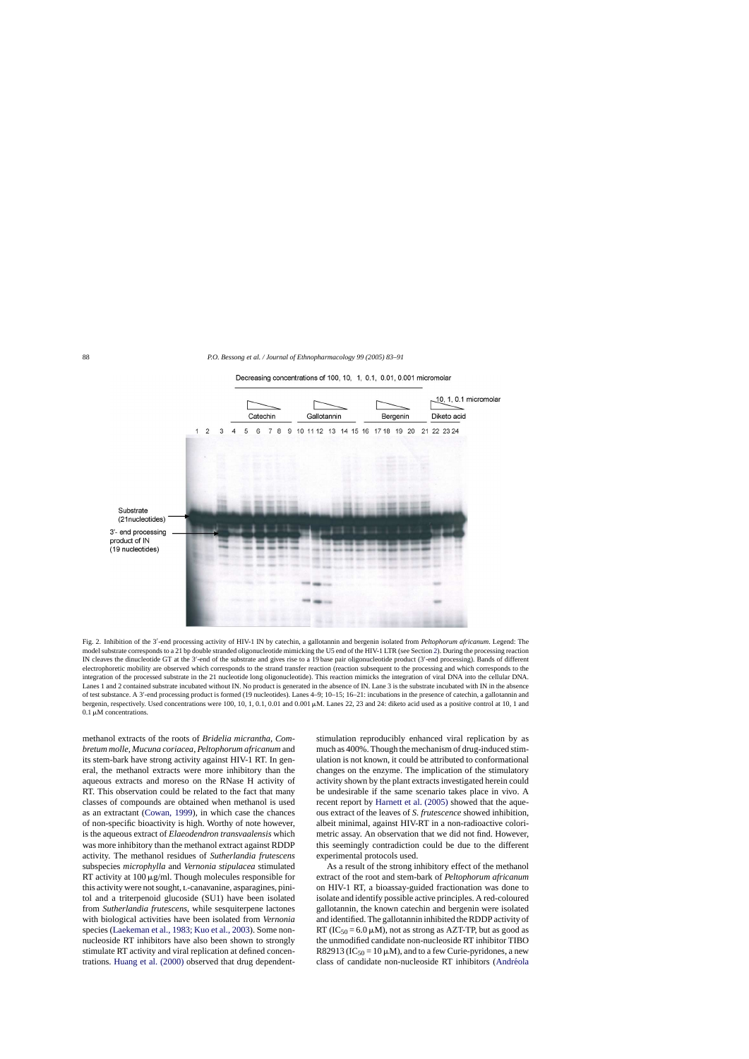Decreasing concentrations of 100, 10, 1, 0.1, 0.01, 0.001 micromolar

<span id="page-5-0"></span>

Fig. 2. Inhibition of the 3'-end processing activity of HIV-1 IN by catechin, a gallotannin and bergenin isolated from *Peltophorum africanum*. Legend: The model substrate corresponds to a 21 bp double stranded oligonucleotide mimicking the U5 end of the HIV-1 LTR (see Section [2\).](#page-1-0) During the processing reaction IN cleaves the dinucleotide GT at the  $3'$ -end of the substrate and gives rise to a 19 base pair oligonucleotide product  $(3'$ -end processing). Bands of different electrophoretic mobility are observed which corresponds to the strand transfer reaction (reaction subsequent to the processing and which corresponds to the integration of the processed substrate in the 21 nucleotide long oligonucleotide). This reaction mimicks the integration of viral DNA into the cellular DNA. Lanes 1 and 2 contained substrate incubated without IN. No product is generated in the absence of IN. Lane 3 is the substrate incubated with IN in the absence of test substance. A 3'-end processing product is formed (19 nucleotides). Lanes 4–9; 10–15; 16–21: incubations in the presence of catechin, a gallotannin and bergenin, respectively. Used concentrations were 100, 10, 1, 0.1, 0.01 and 0.001  $\mu$ M. Lanes 22, 23 and 24: diketo acid used as a positive control at 10, 1 and  $0.1 \mu M$  concentrations.

methanol extracts of the roots of *Bridelia micrantha*, *Combretum molle*, *Mucuna coriacea*, *Peltophorum africanum* and its stem-bark have strong activity against HIV-1 RT. In general, the methanol extracts were more inhibitory than the aqueous extracts and moreso on the RNase H activity of RT. This observation could be related to the fact that many classes of compounds are obtained when methanol is used as an extractant ([Cowan, 1999\),](#page-7-0) in which case the chances of non-specific bioactivity is high. Worthy of note however, is the aqueous extract of *Elaeodendron transvaalensis* which was more inhibitory than the methanol extract against RDDP activity. The methanol residues of *Sutherlandia frutescens* subspecies *microphylla* and *Vernonia stipulacea* stimulated RT activity at  $100 \mu g/ml$ . Though molecules responsible for this activity were not sought, L-canavanine, asparagines, pinitol and a triterpenoid glucoside (SU1) have been isolated from *Sutherlandia frutescens*, while sesquiterpene lactones with biological activities have been isolated from *Vernonia* species ([Laekeman et al., 1983; Kuo et al., 2003\). S](#page-7-0)ome nonnucleoside RT inhibitors have also been shown to strongly stimulate RT activity and viral replication at defined concentrations. [Huang et al. \(2000\)](#page-7-0) observed that drug dependentstimulation reproducibly enhanced viral replication by as much as 400%. Though the mechanism of drug-induced stimulation is not known, it could be attributed to conformational changes on the enzyme. The implication of the stimulatory activity shown by the plant extracts investigated herein could be undesirable if the same scenario takes place in vivo. A recent report by [Harnett et al. \(2005\)](#page-7-0) showed that the aqueous extract of the leaves of *S. frutescence* showed inhibition, albeit minimal, against HIV-RT in a non-radioactive colorimetric assay. An observation that we did not find. However, this seemingly contradiction could be due to the different experimental protocols used.

As a result of the strong inhibitory effect of the methanol extract of the root and stem-bark of *Peltophorum africanum* on HIV-1 RT, a bioassay-guided fractionation was done to isolate and identify possible active principles. A red-coloured gallotannin, the known catechin and bergenin were isolated and identified. The gallotannin inhibited the RDDP activity of RT ( $IC_{50} = 6.0 \mu M$ ), not as strong as AZT-TP, but as good as the unmodified candidate non-nucleoside RT inhibitor TIBO R82913 ( $IC_{50} = 10 \mu M$ ), and to a few Curie-pyridones, a new class of candidate non-nucleoside RT inhibitors ([Andreola](#page-7-0) ´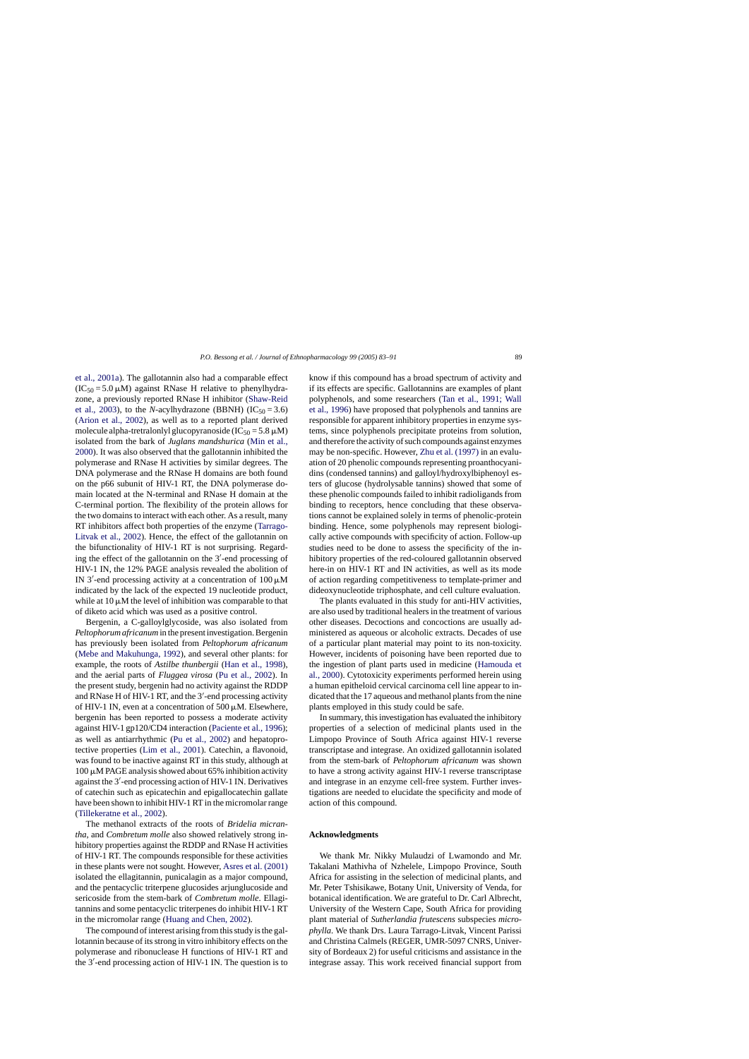[et al., 2001a\).](#page-7-0) The gallotannin also had a comparable effect  $(IC_{50} = 5.0 \,\mu\text{M})$  against RNase H relative to phenylhydrazone, a previously reported RNase H inhibitor ([Shaw-Reid](#page-8-0) [et al., 2003\)](#page-8-0), to the *N*-acylhydrazone (BBNH) ( $IC_{50} = 3.6$ ) ([Arion et al., 2002\)](#page-7-0), as well as to a reported plant derived molecule alpha-tretralonlyl glucopyranoside ( $IC_{50} = 5.8 \mu M$ ) isolated from the bark of *Juglans mandshurica* [\(Min et al.,](#page-7-0) [2000\).](#page-7-0) It was also observed that the gallotannin inhibited the polymerase and RNase H activities by similar degrees. The DNA polymerase and the RNase H domains are both found on the p66 subunit of HIV-1 RT, the DNA polymerase domain located at the N-terminal and RNase H domain at the C-terminal portion. The flexibility of the protein allows for the two domains to interact with each other. As a result, many RT inhibitors affect both properties of the enzyme ([Tarrago-](#page-8-0)[Litvak et al., 2002\)](#page-8-0). Hence, the effect of the gallotannin on the bifunctionality of HIV-1 RT is not surprising. Regarding the effect of the gallotannin on the  $3'$ -end processing of HIV-1 IN, the 12% PAGE analysis revealed the abolition of IN 3'-end processing activity at a concentration of  $100 \mu M$ indicated by the lack of the expected 19 nucleotide product, while at  $10 \mu M$  the level of inhibition was comparable to that of diketo acid which was used as a positive control.

Bergenin, a C-galloylglycoside, was also isolated from *Peltophorum africanum*in the present investigation. Bergenin has previously been isolated from *Peltophorum africanum* ([Mebe and Makuhunga, 1992\),](#page-7-0) and several other plants: for example, the roots of *Astilbe thunbergii* [\(Han et al., 1998\)](#page-7-0), and the aerial parts of *Fluggea virosa* ([Pu et al., 2002\)](#page-8-0). In the present study, bergenin had no activity against the RDDP and RNase H of HIV-1 RT, and the  $3'$ -end processing activity of HIV-1 IN, even at a concentration of  $500 \mu$ M. Elsewhere, bergenin has been reported to possess a moderate activity against HIV-1 gp120/CD4 interaction [\(Paciente et al., 1996\);](#page-8-0) as well as antiarrhythmic ([Pu et al., 2002\)](#page-8-0) and hepatoprotective properties [\(Lim et al., 2001\)](#page-7-0). Catechin, a flavonoid, was found to be inactive against RT in this study, although at  $100 \mu$ M PAGE analysis showed about 65% inhibition activity against the 3'-end processing action of HIV-1 IN. Derivatives of catechin such as epicatechin and epigallocatechin gallate have been shown to inhibit HIV-1 RT in the micromolar range ([Tillekeratne et al., 2002\).](#page-8-0)

The methanol extracts of the roots of *Bridelia micrantha*, and *Combretum molle* also showed relatively strong inhibitory properties against the RDDP and RNase H activities of HIV-1 RT. The compounds responsible for these activities in these plants were not sought. However, [Asres et al. \(2001\)](#page-7-0) isolated the ellagitannin, punicalagin as a major compound, and the pentacyclic triterpene glucosides arjunglucoside and sericoside from the stem-bark of *Combretum molle*. Ellagitannins and some pentacyclic triterpenes do inhibit HIV-1 RT in the micromolar range [\(Huang and Chen, 2002\).](#page-7-0)

The compound of interest arising from this study is the gallotannin because of its strong in vitro inhibitory effects on the polymerase and ribonuclease H functions of HIV-1 RT and the 3'-end processing action of HIV-1 IN. The question is to know if this compound has a broad spectrum of activity and if its effects are specific. Gallotannins are examples of plant polyphenols, and some researchers ([Tan et al., 1991; Wall](#page-8-0) [et al., 1996\)](#page-8-0) have proposed that polyphenols and tannins are responsible for apparent inhibitory properties in enzyme systems, since polyphenols precipitate proteins from solution, and therefore the activity of such compounds against enzymes may be non-specific. However, [Zhu et al. \(1997\)](#page-8-0) in an evaluation of 20 phenolic compounds representing proanthocyanidins (condensed tannins) and galloyl/hydroxylbiphenoyl esters of glucose (hydrolysable tannins) showed that some of these phenolic compounds failed to inhibit radioligands from binding to receptors, hence concluding that these observations cannot be explained solely in terms of phenolic-protein binding. Hence, some polyphenols may represent biologically active compounds with specificity of action. Follow-up studies need to be done to assess the specificity of the inhibitory properties of the red-coloured gallotannin observed here-in on HIV-1 RT and IN activities, as well as its mode of action regarding competitiveness to template-primer and dideoxynucleotide triphosphate, and cell culture evaluation.

The plants evaluated in this study for anti-HIV activities, are also used by traditional healers in the treatment of various other diseases. Decoctions and concoctions are usually administered as aqueous or alcoholic extracts. Decades of use of a particular plant material may point to its non-toxicity. However, incidents of poisoning have been reported due to the ingestion of plant parts used in medicine [\(Hamouda et](#page-7-0) [al., 2000\).](#page-7-0) Cytotoxicity experiments performed herein using a human epitheloid cervical carcinoma cell line appear to indicated that the 17 aqueous and methanol plants from the nine plants employed in this study could be safe.

In summary, this investigation has evaluated the inhibitory properties of a selection of medicinal plants used in the Limpopo Province of South Africa against HIV-1 reverse transcriptase and integrase. An oxidized gallotannin isolated from the stem-bark of *Peltophorum africanum* was shown to have a strong activity against HIV-1 reverse transcriptase and integrase in an enzyme cell-free system. Further investigations are needed to elucidate the specificity and mode of action of this compound.

#### **Acknowledgments**

We thank Mr. Nikky Mulaudzi of Lwamondo and Mr. Takalani Mathivha of Nzhelele, Limpopo Province, South Africa for assisting in the selection of medicinal plants, and Mr. Peter Tshisikawe, Botany Unit, University of Venda, for botanical identification. We are grateful to Dr. Carl Albrecht, University of the Western Cape, South Africa for providing plant material of *Sutherlandia frutescens* subspecies *microphylla*. We thank Drs. Laura Tarrago-Litvak, Vincent Parissi and Christina Calmels (REGER, UMR-5097 CNRS, University of Bordeaux 2) for useful criticisms and assistance in the integrase assay. This work received financial support from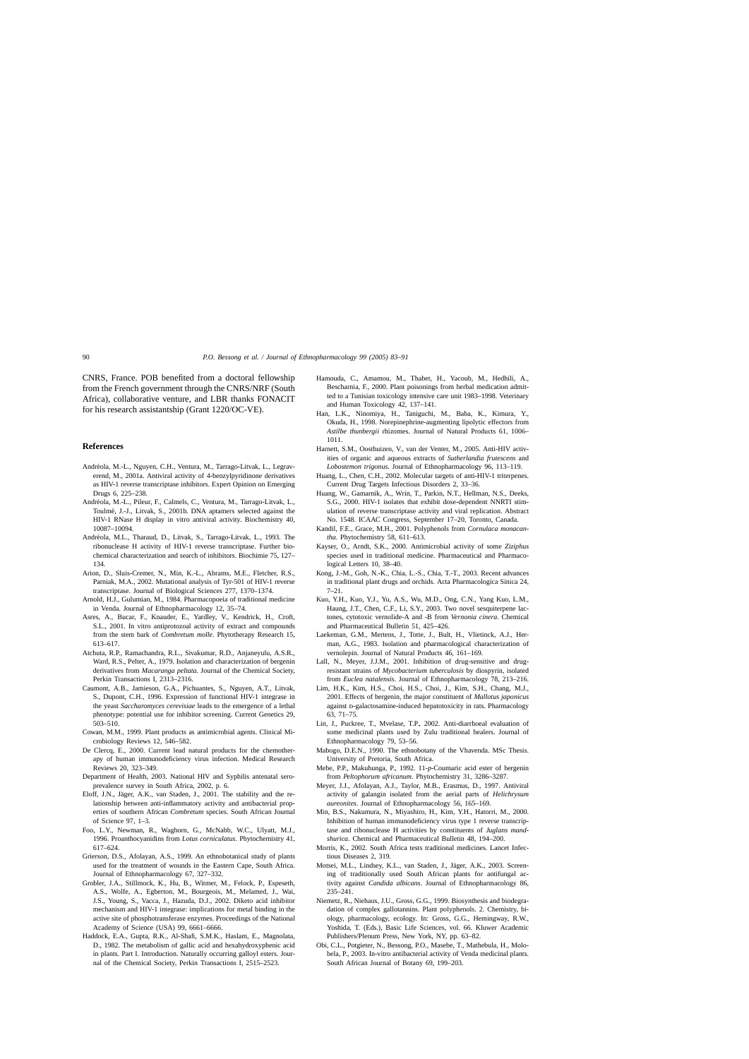<span id="page-7-0"></span>CNRS, France. POB benefited from a doctoral fellowship from the French government through the CNRS/NRF (South Africa), collaborative venture, and LBR thanks FONACIT for his research assistantship (Grant 1220/OC-VE).

## **References**

- Andréola, M.-L., Nguyen, C.H., Ventura, M., Tarrago-Litvak, L., Legraverend, M., 2001a. Antiviral activity of 4-benzylpyridinone derivatives as HIV-1 reverse transcriptase inhibitors. Expert Opinion on Emerging Drugs 6, 225–238.
- Andréola, M.-L., Pileur, F., Calmels, C., Ventura, M., Tarrago-Litvak, L., Toulme, J.-J., Litvak, S., 2001b. DNA aptamers selected against the ´ HIV-1 RNase H display in vitro antiviral activity. Biochemistry 40, 10087–10094.
- Andréola, M.L., Tharaud, D., Litvak, S., Tarrago-Litvak, L., 1993. The ribonuclease H activity of HIV-1 reverse transcriptase. Further biochemical characterization and search of inhibitors. Biochimie 75, 127– 134.
- Arion, D., Sluis-Cremer, N., Min, K.-L., Abrams, M.E., Fletcher, R.S., Parniak, M.A., 2002. Mutational analysis of Tyr-501 of HIV-1 reverse transcriptase. Journal of Biological Sciences 277, 1370–1374.
- Arnold, H.J., Gulumian, M., 1984. Pharmacopoeia of traditional medicine in Venda. Journal of Ethnopharmacology 12, 35–74.
- Asres, A., Bucar, F., Knauder, E., Yardley, V., Kendrick, H., Croft, S.L., 2001. In vitro antiprotozoal activity of extract and compounds from the stem bark of *Combretum molle*. Phytotherapy Research 15, 613–617.
- Atchuta, R.P., Ramachandra, R.L., Sivakumar, R.D., Anjaneyulu, A.S.R., Ward, R.S., Pelter, A., 1979. Isolation and characterization of bergenin derivatives from *Macaranga peltata*. Journal of the Chemical Society, Perkin Transactions I, 2313–2316.
- Caumont, A.B., Jamieson, G.A., Pichuantes, S., Nguyen, A.T., Litvak, S., Dupont, C.H., 1996. Expression of functional HIV-1 integrase in the yeast *Saccharomyces cerevisiae* leads to the emergence of a lethal phenotype: potential use for inhibitor screening. Current Genetics 29, 503–510.
- Cowan, M.M., 1999. Plant products as antimicrobial agents. Clinical Microbiology Reviews 12, 546–582.
- De Clercq, E., 2000. Current lead natural products for the chemotherapy of human immunodeficiency virus infection. Medical Research Reviews 20, 323–349.
- Department of Health, 2003. National HIV and Syphilis antenatal seroprevalence survey in South Africa, 2002, p. 6.
- Eloff, J.N., Jäger, A.K., van Staden, J., 2001. The stability and the relationship between anti-inflammatory activity and antibacterial properties of southern African *Combretum* species. South African Journal of Science 97, 1–3.
- Foo, L.Y., Newman, R., Waghorn, G., McNabb, W.C., Ulyatt, M.J., 1996. Proanthocyanidins from *Lotus corniculatus*. Phytochemistry 41, 617–624.
- Grierson, D.S., Afolayan, A.S., 1999. An ethnobotanical study of plants used for the treatment of wounds in the Eastern Cape, South Africa. Journal of Ethnopharmacology 67, 327–332.
- Grobler, J.A., Stillmock, K., Hu, B., Witmer, M., Felock, P., Espeseth, A.S., Wolfe, A., Egberton, M., Bourgeois, M., Melamed, J., Wai, J.S., Young, S., Vacca, J., Hazuda, D.J., 2002. Diketo acid inhibitor mechanism and HIV-1 integrase: implications for metal binding in the active site of phosphotransferase enzymes. Proceedings of the National Academy of Science (USA) 99, 6661–6666.
- Haddock, E.A., Gupta, R.K., Al-Shafi, S.M.K., Haslam, E., Magnolata, D., 1982. The metabolism of gallic acid and hexahydroxyphenic acid in plants. Part I. Introduction. Naturally occurring galloyl esters. Journal of the Chemical Society, Perkin Transactions I, 2515–2523.
- Hamouda, C., Amamou, M., Thabet, H., Yacoub, M., Hedhili, A., Bescharnia, F., 2000. Plant poisonings from herbal medication admitted to a Tunisian toxicology intensive care unit 1983–1998. Veterinary and Human Toxicology 42, 137–141.
- Han, L.K., Ninomiya, H., Taniguchi, M., Baba, K., Kimura, Y., Okuda, H., 1998. Norepinephrine-augmenting lipolytic effectors from *Astilbe thunbergii* rhizomes. Journal of Natural Products 61, 1006– 1011.
- Harnett, S.M., Oosthuizen, V., van der Venter, M., 2005. Anti-HIV activities of organic and aqueous extracts of *Sutherlandia frutescens* and *Lobostemon trigonus*. Journal of Ethnopharmacology 96, 113–119.
- Huang, L., Chen, C.H., 2002. Molecular targets of anti-HIV-1 triterpenes. Current Drug Targets Infectious Disorders 2, 33–36.
- Huang, W., Gamarnik, A., Wrin, T., Parkin, N.T., Hellman, N.S., Deeks, S.G., 2000. HIV-1 isolates that exhibit dose-dependent NNRTI stimulation of reverse transcriptase activity and viral replication. Abstract No. 1548. ICAAC Congress, September 17–20, Toronto, Canada.
- Kandil, F.E., Grace, M.H., 2001. Polyphenols from *Cornulaca monacantha*. Phytochemistry 58, 611–613.
- Kayser, O., Arndt, S.K., 2000. Antimicrobial activity of some *Ziziphus* species used in traditional medicine. Pharmaceutical and Pharmacological Letters 10, 38–40.
- Kong, J.-M., Goh, N.-K., Chia, L.-S., Chia, T.-T., 2003. Recent advances in traditional plant drugs and orchids. Acta Pharmacologica Sinica 24, 7–21.
- Kuo, Y.H., Kuo, Y.J., Yu, A.S., Wu, M.D., Ong, C.N., Yang Kuo, L.M., Haung, J.T., Chen, C.F., Li, S.Y., 2003. Two novel sesquiterpene lactones, cytotoxic vernolide-A and -B from *Vernonia cinera*. Chemical and Pharmaceutical Bulletin 51, 425–426.
- Laekeman, G.M., Mertens, J., Totte, J., Bult, H., Vlietinck, A.J., Herman, A.G., 1983. Isolation and pharmacological characterization of vernolepin. Journal of Natural Products 46, 161–169.
- Lall, N., Meyer, J.J.M., 2001. Inhibition of drug-sensitive and drugresistant strains of *Mycobacterium tuberculosis* by diospyrin, isolated from *Euclea natalensis*. Journal of Ethnopharmacology 78, 213–216.
- Lim, H.K., Kim, H.S., Choi, H.S., Choi, J., Kim, S.H., Chang, M.J., 2001. Effects of bergenin, the major constituent of *Mallotus japonicus* against p-galactosamine-induced hepatotoxicity in rats. Pharmacology 63, 71–75.
- Lin, J., Puckree, T., Mvelase, T.P., 2002. Anti-diarrhoeal evaluation of some medicinal plants used by Zulu traditional healers. Journal of Ethnopharmacology 79, 53–56.
- Mabogo, D.E.N., 1990. The ethnobotany of the Vhavenda. MSc Thesis. University of Pretoria, South Africa.
- Mebe, P.P., Makuhunga, P., 1992. 11-*p*-Coumaric acid ester of bergenin from *Peltophorum africanum*. Phytochemistry 31, 3286–3287.
- Meyer, J.J., Afolayan, A.J., Taylor, M.B., Erasmus, D., 1997. Antiviral activity of galangin isolated from the aerial parts of *Helichrysum aureonites*. Journal of Ethnopharmacology 56, 165–169.
- Min, B.S., Nakumura, N., Miyashiro, H., Kim, Y.H., Hatorri, M., 2000. Inhibition of human immunodeficiency virus type 1 reverse transcriptase and ribonuclease H activities by constituents of *Juglans mandshurica*. Chemical and Pharmaceutical Bulletin 48, 194–200.
- Morris, K., 2002. South Africa tests traditional medicines. Lancet Infectious Diseases 2, 319.
- Motsei, M.L., Lindsey, K.L., van Staden, J., Jäger, A.K., 2003. Screening of traditionally used South African plants for antifungal activity against *Candida albicans*. Journal of Ethnopharmacology 86, 235–241.
- Niemetz, R., Niehaus, J.U., Gross, G.G., 1999. Biosynthesis and biodegradation of complex gallotannins. Plant polyphenols. 2. Chemistry, biology, pharmacology, ecology. In: Gross, G.G., Hemingway, R.W., Yoshida, T. (Eds.), Basic Life Sciences, vol. 66. Kluwer Academic Publishers/Plenum Press, New York, NY, pp. 63–82.
- Obi, C.L., Potgieter, N., Bessong, P.O., Masebe, T., Mathebula, H., Molobela, P., 2003. In-vitro antibacterial activity of Venda medicinal plants. South African Journal of Botany 69, 199–203.